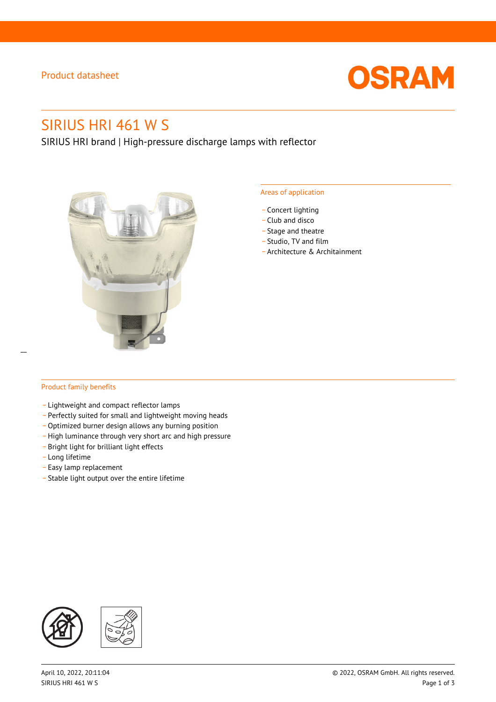### Product datasheet



# SIRIUS HRI 461 W S

SIRIUS HRI brand | High-pressure discharge lamps with reflector



#### Areas of application

- Concert lighting
- \_ Club and disco
- Stage and theatre
- \_ Studio, TV and film
- \_ Architecture & Architainment

#### Product family benefits

- \_ Lightweight and compact reflector lamps
- \_ Perfectly suited for small and lightweight moving heads
- Optimized burner design allows any burning position
- High luminance through very short arc and high pressure
- \_ Bright light for brilliant light effects
- \_ Long lifetime
- \_ Easy lamp replacement
- \_ Stable light output over the entire lifetime

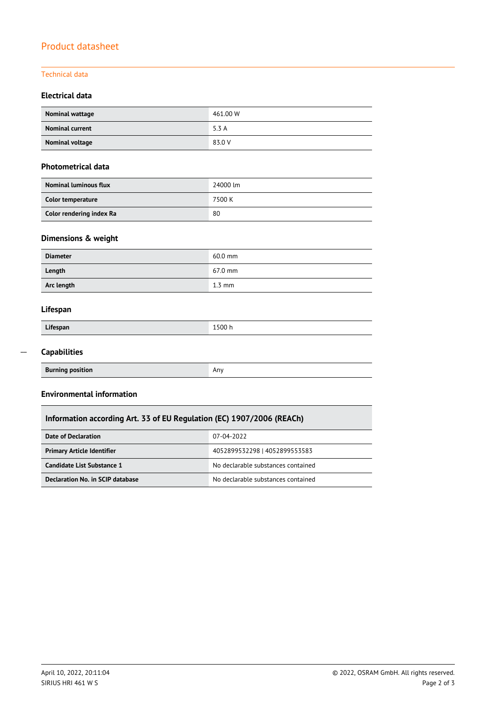## Product datasheet

#### Technical data

### **Electrical data**

| Nominal wattage        | 461.00 W |
|------------------------|----------|
| <b>Nominal current</b> | 5.3 A    |
| Nominal voltage        | 83.0 V   |

#### **Photometrical data**

| <b>Nominal luminous flux</b> | 24000 lm |
|------------------------------|----------|
| Color temperature            | 7500 K   |
| Color rendering index Ra     | 80       |

### **Dimensions & weight**

| <b>Diameter</b> | $60.0$ mm        |
|-----------------|------------------|
| Length          | 67.0 mm          |
| Arc length      | $1.3 \text{ mm}$ |

### **Lifespan**

| Lifespan | 1500h |
|----------|-------|
|          |       |

#### **Capabilities**  $\overline{a}$

| <b>Burning position</b> | Anv |
|-------------------------|-----|
|                         |     |

#### **Environmental information**

### **Information according Art. 33 of EU Regulation (EC) 1907/2006 (REACh)**

| Date of Declaration               | 07-04-2022                         |  |
|-----------------------------------|------------------------------------|--|
| <b>Primary Article Identifier</b> | 4052899532298   4052899553583      |  |
| Candidate List Substance 1        | No declarable substances contained |  |
| Declaration No. in SCIP database  | No declarable substances contained |  |